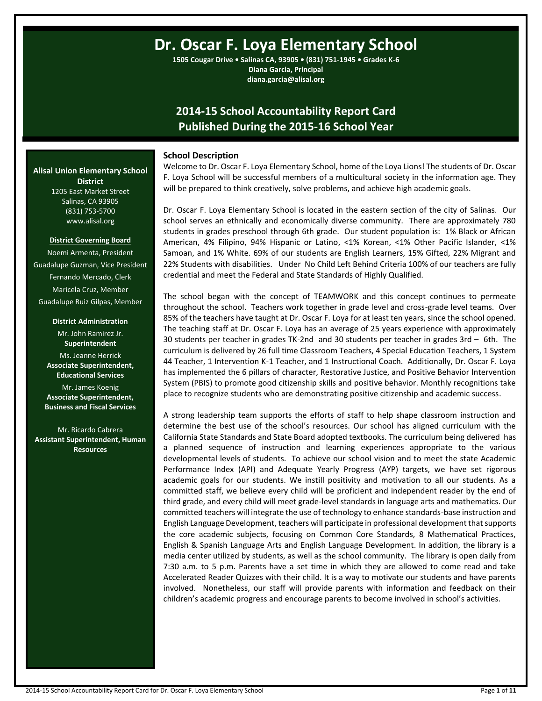# **Dr. Oscar F. Loya Elementary School**

**1505 Cougar Drive • Salinas CA, 93905 • (831) 751-1945 • Grades K-6 Diana Garcia, Principal diana.garcia@alisal.org**

## **2014-15 School Accountability Report Card Published During the 2015-16 School Year**

## **School Description**

Welcome to Dr. Oscar F. Loya Elementary School, home of the Loya Lions! The students of Dr. Oscar F. Loya School will be successful members of a multicultural society in the information age. They will be prepared to think creatively, solve problems, and achieve high academic goals.

Dr. Oscar F. Loya Elementary School is located in the eastern section of the city of Salinas. Our school serves an ethnically and economically diverse community. There are approximately 780 students in grades preschool through 6th grade. Our student population is: 1% Black or African American, 4% Filipino, 94% Hispanic or Latino, <1% Korean, <1% Other Pacific Islander, <1% Samoan, and 1% White. 69% of our students are English Learners, 15% Gifted, 22% Migrant and 22% Students with disabilities. Under No Child Left Behind Criteria 100% of our teachers are fully credential and meet the Federal and State Standards of Highly Qualified.

The school began with the concept of TEAMWORK and this concept continues to permeate throughout the school. Teachers work together in grade level and cross-grade level teams. Over 85% of the teachers have taught at Dr. Oscar F. Loya for at least ten years, since the school opened. The teaching staff at Dr. Oscar F. Loya has an average of 25 years experience with approximately 30 students per teacher in grades TK-2nd and 30 students per teacher in grades 3rd – 6th. The curriculum is delivered by 26 full time Classroom Teachers, 4 Special Education Teachers, 1 System 44 Teacher, 1 Intervention K-1 Teacher, and 1 Instructional Coach. Additionally, Dr. Oscar F. Loya has implemented the 6 pillars of character, Restorative Justice, and Positive Behavior Intervention System (PBIS) to promote good citizenship skills and positive behavior. Monthly recognitions take place to recognize students who are demonstrating positive citizenship and academic success.

A strong leadership team supports the efforts of staff to help shape classroom instruction and determine the best use of the school's resources. Our school has aligned curriculum with the California State Standards and State Board adopted textbooks. The curriculum being delivered has a planned sequence of instruction and learning experiences appropriate to the various developmental levels of students. To achieve our school vision and to meet the state Academic Performance Index (API) and Adequate Yearly Progress (AYP) targets, we have set rigorous academic goals for our students. We instill positivity and motivation to all our students. As a committed staff, we believe every child will be proficient and independent reader by the end of third grade, and every child will meet grade-level standards in language arts and mathematics. Our committed teachers will integrate the use of technology to enhance standards-base instruction and English Language Development, teachers will participate in professional development that supports the core academic subjects, focusing on Common Core Standards, 8 Mathematical Practices, English & Spanish Language Arts and English Language Development. In addition, the library is a media center utilized by students, as well as the school community. The library is open daily from 7:30 a.m. to 5 p.m. Parents have a set time in which they are allowed to come read and take Accelerated Reader Quizzes with their child. It is a way to motivate our students and have parents involved. Nonetheless, our staff will provide parents with information and feedback on their children's academic progress and encourage parents to become involved in school's activities.

**Alisal Union Elementary School District** 1205 East Market Street

Salinas, CA 93905 (831) 753-5700 www.alisal.org

#### **District Governing Board**

Noemi Armenta, President Guadalupe Guzman, Vice President Fernando Mercado, Clerk Maricela Cruz, Member Guadalupe Ruiz Gilpas, Member

**District Administration**

Mr. John Ramirez Jr. **Superintendent** Ms. Jeanne Herrick **Associate Superintendent, Educational Services** Mr. James Koenig **Associate Superintendent, Business and Fiscal Services**

Mr. Ricardo Cabrera **Assistant Superintendent, Human Resources**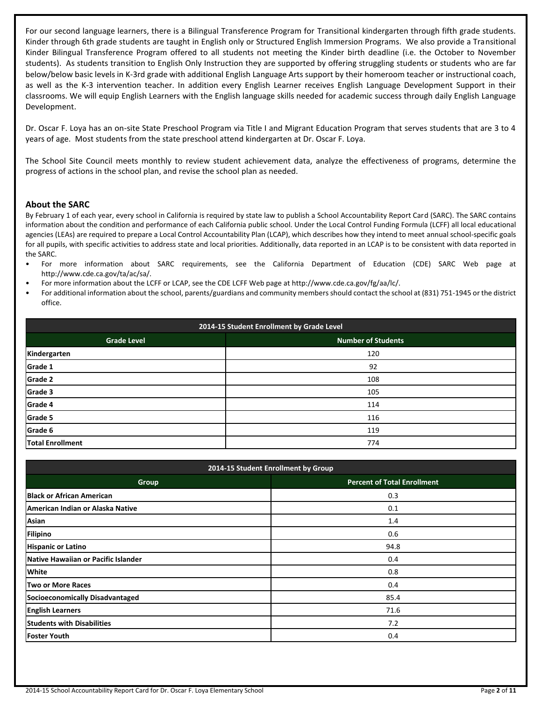For our second language learners, there is a Bilingual Transference Program for Transitional kindergarten through fifth grade students. Kinder through 6th grade students are taught in English only or Structured English Immersion Programs. We also provide a Transitional Kinder Bilingual Transference Program offered to all students not meeting the Kinder birth deadline (i.e. the October to November students). As students transition to English Only Instruction they are supported by offering struggling students or students who are far below/below basic levels in K-3rd grade with additional English Language Arts support by their homeroom teacher or instructional coach, as well as the K-3 intervention teacher. In addition every English Learner receives English Language Development Support in their classrooms. We will equip English Learners with the English language skills needed for academic success through daily English Language Development.

Dr. Oscar F. Loya has an on-site State Preschool Program via Title I and Migrant Education Program that serves students that are 3 to 4 years of age. Most students from the state preschool attend kindergarten at Dr. Oscar F. Loya.

The School Site Council meets monthly to review student achievement data, analyze the effectiveness of programs, determine the progress of actions in the school plan, and revise the school plan as needed.

## **About the SARC**

By February 1 of each year, every school in California is required by state law to publish a School Accountability Report Card (SARC). The SARC contains information about the condition and performance of each California public school. Under the Local Control Funding Formula (LCFF) all local educational agencies (LEAs) are required to prepare a Local Control Accountability Plan (LCAP), which describes how they intend to meet annual school-specific goals for all pupils, with specific activities to address state and local priorities. Additionally, data reported in an LCAP is to be consistent with data reported in the SARC.

- For more information about SARC requirements, see the California Department of Education (CDE) SARC Web page at http://www.cde.ca.gov/ta/ac/sa/.
- For more information about the LCFF or LCAP, see the CDE LCFF Web page at http://www.cde.ca.gov/fg/aa/lc/.
- For additional information about the school, parents/guardians and community members should contact the school at (831) 751-1945 or the district office.

| 2014-15 Student Enrollment by Grade Level |                           |  |  |  |
|-------------------------------------------|---------------------------|--|--|--|
| <b>Grade Level</b>                        | <b>Number of Students</b> |  |  |  |
| Kindergarten                              | 120                       |  |  |  |
| Grade 1                                   | 92                        |  |  |  |
| <b>Grade 2</b>                            | 108                       |  |  |  |
| Grade 3                                   | 105                       |  |  |  |
| Grade 4                                   | 114                       |  |  |  |
| Grade 5                                   | 116                       |  |  |  |
| Grade 6                                   | 119                       |  |  |  |
| <b>Total Enrollment</b>                   | 774                       |  |  |  |

| 2014-15 Student Enrollment by Group |                                    |  |  |  |  |
|-------------------------------------|------------------------------------|--|--|--|--|
| Group                               | <b>Percent of Total Enrollment</b> |  |  |  |  |
| <b>Black or African American</b>    | 0.3                                |  |  |  |  |
| American Indian or Alaska Native    | 0.1                                |  |  |  |  |
| Asian                               | 1.4                                |  |  |  |  |
| Filipino                            | 0.6                                |  |  |  |  |
| <b>Hispanic or Latino</b>           | 94.8                               |  |  |  |  |
| Native Hawaiian or Pacific Islander | 0.4                                |  |  |  |  |
| <b>White</b>                        | 0.8                                |  |  |  |  |
| Two or More Races                   | 0.4                                |  |  |  |  |
| Socioeconomically Disadvantaged     | 85.4                               |  |  |  |  |
| <b>English Learners</b>             | 71.6                               |  |  |  |  |
| <b>Students with Disabilities</b>   | 7.2                                |  |  |  |  |
| <b>Foster Youth</b>                 | 0.4                                |  |  |  |  |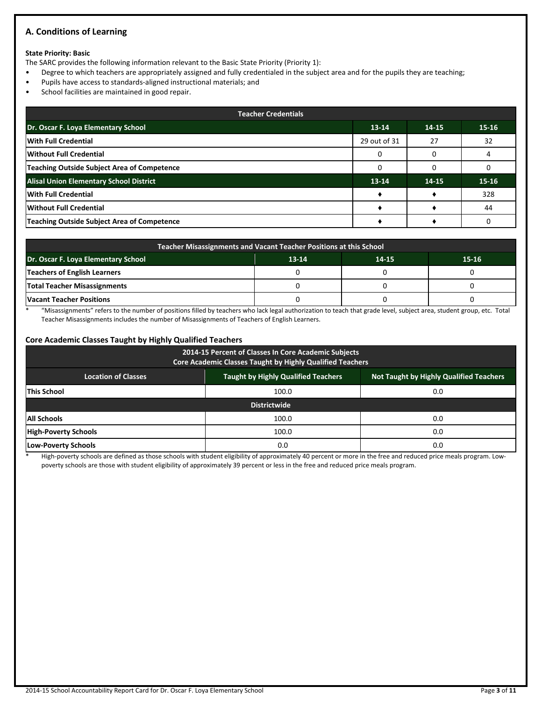## **A. Conditions of Learning**

#### **State Priority: Basic**

The SARC provides the following information relevant to the Basic State Priority (Priority 1):

- Degree to which teachers are appropriately assigned and fully credentialed in the subject area and for the pupils they are teaching;
- Pupils have access to standards-aligned instructional materials; and
- School facilities are maintained in good repair.

| <b>Teacher Credentials</b>                         |              |       |           |  |  |  |
|----------------------------------------------------|--------------|-------|-----------|--|--|--|
| Dr. Oscar F. Loya Elementary School                | $13-14$      | 14-15 | $15 - 16$ |  |  |  |
| With Full Credential                               | 29 out of 31 | 27    | 32        |  |  |  |
| Without Full Credential                            |              |       |           |  |  |  |
| <b>Teaching Outside Subject Area of Competence</b> |              |       |           |  |  |  |
| <b>Alisal Union Elementary School District</b>     | $13-14$      | 14-15 | $15 - 16$ |  |  |  |
| <b>With Full Credential</b>                        |              |       | 328       |  |  |  |
| Without Full Credential                            |              |       | 44        |  |  |  |
| Teaching Outside Subject Area of Competence        |              |       |           |  |  |  |

| Teacher Misassignments and Vacant Teacher Positions at this School |  |  |  |  |  |  |  |
|--------------------------------------------------------------------|--|--|--|--|--|--|--|
| Dr. Oscar F. Loya Elementary School<br>$13-14$<br>15-16<br>14-15   |  |  |  |  |  |  |  |
| <b>Teachers of English Learners</b>                                |  |  |  |  |  |  |  |
| <b>Total Teacher Misassignments</b>                                |  |  |  |  |  |  |  |
| <b>Vacant Teacher Positions</b>                                    |  |  |  |  |  |  |  |

\* "Misassignments" refers to the number of positions filled by teachers who lack legal authorization to teach that grade level, subject area, student group, etc. Total Teacher Misassignments includes the number of Misassignments of Teachers of English Learners.

#### **Core Academic Classes Taught by Highly Qualified Teachers**

| 2014-15 Percent of Classes In Core Academic Subjects<br>Core Academic Classes Taught by Highly Qualified Teachers          |       |     |  |  |  |  |  |
|----------------------------------------------------------------------------------------------------------------------------|-------|-----|--|--|--|--|--|
| <b>Taught by Highly Qualified Teachers</b><br><b>Not Taught by Highly Qualified Teachers</b><br><b>Location of Classes</b> |       |     |  |  |  |  |  |
| <b>This School</b>                                                                                                         | 100.0 | 0.0 |  |  |  |  |  |
| <b>Districtwide</b>                                                                                                        |       |     |  |  |  |  |  |
| <b>All Schools</b>                                                                                                         | 100.0 | 0.0 |  |  |  |  |  |
| <b>High-Poverty Schools</b>                                                                                                | 100.0 | 0.0 |  |  |  |  |  |
| Low-Poverty Schools                                                                                                        | 0.0   | 0.0 |  |  |  |  |  |

High-poverty schools are defined as those schools with student eligibility of approximately 40 percent or more in the free and reduced price meals program. Lowpoverty schools are those with student eligibility of approximately 39 percent or less in the free and reduced price meals program.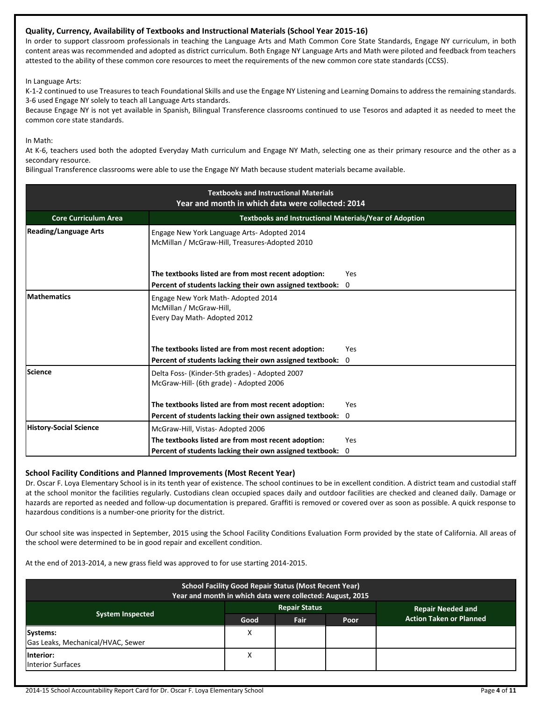## **Quality, Currency, Availability of Textbooks and Instructional Materials (School Year 2015-16)**

In order to support classroom professionals in teaching the Language Arts and Math Common Core State Standards, Engage NY curriculum, in both content areas was recommended and adopted as district curriculum. Both Engage NY Language Arts and Math were piloted and feedback from teachers attested to the ability of these common core resources to meet the requirements of the new common core state standards (CCSS).

In Language Arts:

K-1-2 continued to use Treasures to teach Foundational Skills and use the Engage NY Listening and Learning Domains to address the remaining standards. 3-6 used Engage NY solely to teach all Language Arts standards.

Because Engage NY is not yet available in Spanish, Bilingual Transference classrooms continued to use Tesoros and adapted it as needed to meet the common core state standards.

In Math:

At K-6, teachers used both the adopted Everyday Math curriculum and Engage NY Math, selecting one as their primary resource and the other as a secondary resource.

Bilingual Transference classrooms were able to use the Engage NY Math because student materials became available.

| <b>Textbooks and Instructional Materials</b><br>Year and month in which data were collected: 2014 |                                                                                                                 |                              |  |  |  |
|---------------------------------------------------------------------------------------------------|-----------------------------------------------------------------------------------------------------------------|------------------------------|--|--|--|
| <b>Textbooks and Instructional Materials/Year of Adoption</b><br><b>Core Curriculum Area</b>      |                                                                                                                 |                              |  |  |  |
| <b>Reading/Language Arts</b>                                                                      | Engage New York Language Arts-Adopted 2014<br>McMillan / McGraw-Hill, Treasures-Adopted 2010                    |                              |  |  |  |
|                                                                                                   | The textbooks listed are from most recent adoption:<br>Percent of students lacking their own assigned textbook: | Yes<br>$\mathbf{0}$          |  |  |  |
| <b>Mathematics</b>                                                                                | Engage New York Math-Adopted 2014<br>McMillan / McGraw-Hill,<br>Every Day Math-Adopted 2012                     |                              |  |  |  |
|                                                                                                   | The textbooks listed are from most recent adoption:<br>Percent of students lacking their own assigned textbook: | <b>Yes</b><br>$\overline{0}$ |  |  |  |
| Science                                                                                           | Delta Foss- (Kinder-5th grades) - Adopted 2007<br>McGraw-Hill- (6th grade) - Adopted 2006                       |                              |  |  |  |
|                                                                                                   | The textbooks listed are from most recent adoption:                                                             | Yes                          |  |  |  |
|                                                                                                   | Percent of students lacking their own assigned textbook:                                                        | 0                            |  |  |  |
| <b>History-Social Science</b>                                                                     | McGraw-Hill, Vistas-Adopted 2006                                                                                |                              |  |  |  |
|                                                                                                   | The textbooks listed are from most recent adoption:                                                             | <b>Yes</b>                   |  |  |  |
|                                                                                                   | Percent of students lacking their own assigned textbook: 0                                                      |                              |  |  |  |

## **School Facility Conditions and Planned Improvements (Most Recent Year)**

Dr. Oscar F. Loya Elementary School is in its tenth year of existence. The school continues to be in excellent condition. A district team and custodial staff at the school monitor the facilities regularly. Custodians clean occupied spaces daily and outdoor facilities are checked and cleaned daily. Damage or hazards are reported as needed and follow-up documentation is prepared. Graffiti is removed or covered over as soon as possible. A quick response to hazardous conditions is a number-one priority for the district.

Our school site was inspected in September, 2015 using the School Facility Conditions Evaluation Form provided by the state of California. All areas of the school were determined to be in good repair and excellent condition.

At the end of 2013-2014, a new grass field was approved to for use starting 2014-2015.

| <b>School Facility Good Repair Status (Most Recent Year)</b><br>Year and month in which data were collected: August, 2015 |      |                      |      |                                |  |  |
|---------------------------------------------------------------------------------------------------------------------------|------|----------------------|------|--------------------------------|--|--|
|                                                                                                                           |      | <b>Repair Status</b> |      | <b>Repair Needed and</b>       |  |  |
| <b>System Inspected</b>                                                                                                   | Good | Fair                 | Poor | <b>Action Taken or Planned</b> |  |  |
| Systems:                                                                                                                  | X    |                      |      |                                |  |  |
| Gas Leaks, Mechanical/HVAC, Sewer                                                                                         |      |                      |      |                                |  |  |
| Interior:<br><b>Interior Surfaces</b>                                                                                     | X    |                      |      |                                |  |  |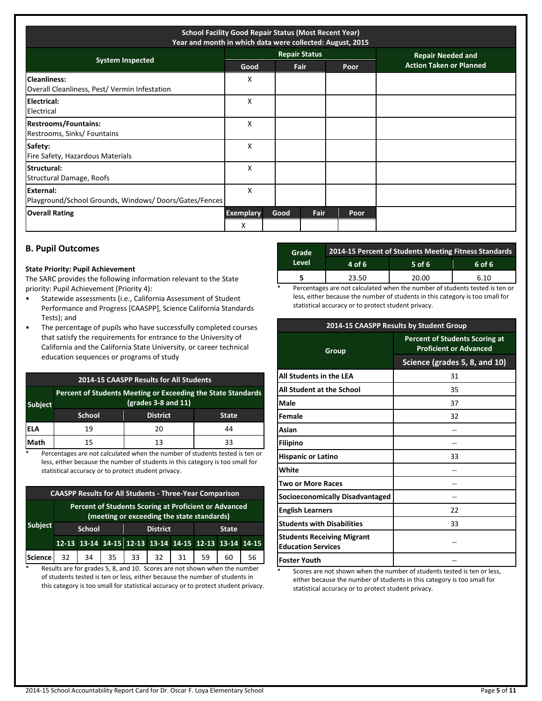| <b>School Facility Good Repair Status (Most Recent Year)</b><br>Year and month in which data were collected: August, 2015 |                       |      |                      |      |                                |
|---------------------------------------------------------------------------------------------------------------------------|-----------------------|------|----------------------|------|--------------------------------|
| <b>System Inspected</b>                                                                                                   |                       |      | <b>Repair Status</b> |      | <b>Repair Needed and</b>       |
|                                                                                                                           | Good                  |      | <b>Fair</b>          | Poor | <b>Action Taken or Planned</b> |
| <b>Cleanliness:</b><br>Overall Cleanliness, Pest/Vermin Infestation                                                       | х                     |      |                      |      |                                |
| Electrical:<br>Electrical                                                                                                 | X                     |      |                      |      |                                |
| <b>Restrooms/Fountains:</b><br>Restrooms, Sinks/ Fountains                                                                | X                     |      |                      |      |                                |
| Safety:<br>Fire Safety, Hazardous Materials                                                                               | X                     |      |                      |      |                                |
| Structural:<br>Structural Damage, Roofs                                                                                   | X                     |      |                      |      |                                |
| External:<br>Playground/School Grounds, Windows/Doors/Gates/Fences                                                        | X                     |      |                      |      |                                |
| <b>Overall Rating</b>                                                                                                     | <b>Exemplary</b><br>X | Good | Fair                 | Poor |                                |

## **B. Pupil Outcomes**

#### **State Priority: Pupil Achievement**

The SARC provides the following information relevant to the State priority: Pupil Achievement (Priority 4):

- Statewide assessments (i.e., California Assessment of Student Performance and Progress [CAASPP], Science California Standards Tests); and
- The percentage of pupils who have successfully completed courses that satisfy the requirements for entrance to the University of California and the California State University, or career technical education sequences or programs of study

| 2014-15 CAASPP Results for All Students |                                                                                     |                 |              |  |  |
|-----------------------------------------|-------------------------------------------------------------------------------------|-----------------|--------------|--|--|
| <b>Subject</b>                          | Percent of Students Meeting or Exceeding the State Standards<br>(grades 3-8 and 11) |                 |              |  |  |
|                                         | <b>School</b>                                                                       | <b>District</b> | <b>State</b> |  |  |
| lela                                    | 19                                                                                  | 20              | 44           |  |  |
| Math                                    | 15                                                                                  | 13              | 33           |  |  |

\* Percentages are not calculated when the number of students tested is ten or less, either because the number of students in this category is too small for statistical accuracy or to protect student privacy.

| <b>CAASPP Results for All Students - Three-Year Comparison</b> |                                                                                                     |    |                 |    |                                                       |              |    |    |    |
|----------------------------------------------------------------|-----------------------------------------------------------------------------------------------------|----|-----------------|----|-------------------------------------------------------|--------------|----|----|----|
|                                                                | Percent of Students Scoring at Proficient or Advanced<br>(meeting or exceeding the state standards) |    |                 |    |                                                       |              |    |    |    |
| <b>Subject</b>                                                 | <b>School</b>                                                                                       |    | <b>District</b> |    |                                                       | <b>State</b> |    |    |    |
|                                                                |                                                                                                     |    |                 |    | 12-13 13-14 14-15 12-13 13-14 14-15 12-13 13-14 14-15 |              |    |    |    |
| <b>Science</b>                                                 | 32                                                                                                  | 34 | 35.             | 33 | 32                                                    | 31           | 59 | 60 | 56 |

\* Results are for grades 5, 8, and 10. Scores are not shown when the number of students tested is ten or less, either because the number of students in this category is too small for statistical accuracy or to protect student privacy.

| Grade  | 2014-15 Percent of Students Meeting Fitness Standards |          |        |  |  |  |
|--------|-------------------------------------------------------|----------|--------|--|--|--|
| Level. | 4 of 6                                                | $5$ of 6 | 6 of 6 |  |  |  |
|        | 23.50                                                 | 20.00    | 6.10   |  |  |  |

Percentages are not calculated when the number of students tested is ten or less, either because the number of students in this category is too small for statistical accuracy or to protect student privacy.

| 2014-15 CAASPP Results by Student Group                        |                                                                        |  |  |  |
|----------------------------------------------------------------|------------------------------------------------------------------------|--|--|--|
| Group                                                          | <b>Percent of Students Scoring at</b><br><b>Proficient or Advanced</b> |  |  |  |
|                                                                | Science (grades 5, 8, and 10)                                          |  |  |  |
| All Students in the LEA                                        | 31                                                                     |  |  |  |
| All Student at the School                                      | 35                                                                     |  |  |  |
| Male                                                           | 37                                                                     |  |  |  |
| Female                                                         | 32                                                                     |  |  |  |
| Asian                                                          |                                                                        |  |  |  |
| <b>Filipino</b>                                                |                                                                        |  |  |  |
| <b>Hispanic or Latino</b>                                      | 33                                                                     |  |  |  |
| White                                                          |                                                                        |  |  |  |
| <b>Two or More Races</b>                                       |                                                                        |  |  |  |
| Socioeconomically Disadvantaged                                |                                                                        |  |  |  |
| <b>English Learners</b>                                        | 22                                                                     |  |  |  |
| <b>Students with Disabilities</b>                              | 33                                                                     |  |  |  |
| <b>Students Receiving Migrant</b><br><b>Education Services</b> |                                                                        |  |  |  |
| <b>Foster Youth</b>                                            |                                                                        |  |  |  |

Scores are not shown when the number of students tested is ten or less, either because the number of students in this category is too small for statistical accuracy or to protect student privacy.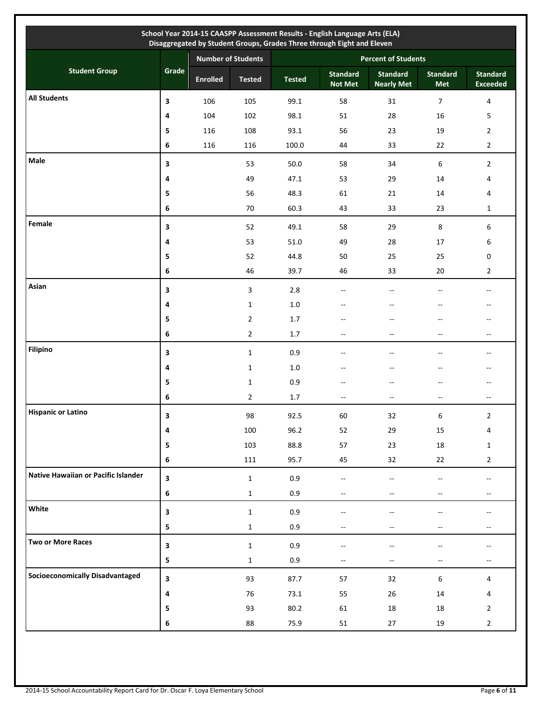|                                        |                  |                 |                           |               | School Year 2014-15 CAASPP Assessment Results - English Language Arts (ELA)<br>Disaggregated by Student Groups, Grades Three through Eight and Eleven |                                      |                          |                                                     |
|----------------------------------------|------------------|-----------------|---------------------------|---------------|-------------------------------------------------------------------------------------------------------------------------------------------------------|--------------------------------------|--------------------------|-----------------------------------------------------|
|                                        |                  |                 | <b>Number of Students</b> |               | <b>Percent of Students</b>                                                                                                                            |                                      |                          |                                                     |
| <b>Student Group</b>                   | Grade            | <b>Enrolled</b> | <b>Tested</b>             | <b>Tested</b> | <b>Standard</b><br><b>Not Met</b>                                                                                                                     | <b>Standard</b><br><b>Nearly Met</b> | <b>Standard</b><br>Met   | <b>Standard</b><br><b>Exceeded</b>                  |
| <b>All Students</b>                    | 3                | 106             | 105                       | 99.1          | 58                                                                                                                                                    | 31                                   | $\overline{7}$           | $\overline{4}$                                      |
|                                        | 4                | 104             | 102                       | 98.1          | 51                                                                                                                                                    | 28                                   | 16                       | 5                                                   |
|                                        | 5                | 116             | 108                       | 93.1          | 56                                                                                                                                                    | 23                                   | 19                       | $\overline{2}$                                      |
|                                        | 6                | 116             | 116                       | 100.0         | 44                                                                                                                                                    | 33                                   | 22                       | $\overline{2}$                                      |
| Male                                   | 3                |                 | 53                        | 50.0          | 58                                                                                                                                                    | 34                                   | 6                        | $\overline{2}$                                      |
|                                        | 4                |                 | 49                        | 47.1          | 53                                                                                                                                                    | 29                                   | 14                       | 4                                                   |
|                                        | 5                |                 | 56                        | 48.3          | 61                                                                                                                                                    | 21                                   | 14                       | 4                                                   |
|                                        | 6                |                 | $70\,$                    | 60.3          | 43                                                                                                                                                    | 33                                   | 23                       | $\mathbf{1}$                                        |
| Female                                 | 3                |                 | 52                        | 49.1          | 58                                                                                                                                                    | 29                                   | 8                        | 6                                                   |
|                                        | 4                |                 | 53                        | 51.0          | 49                                                                                                                                                    | 28                                   | 17                       | 6                                                   |
|                                        | 5                |                 | 52                        | 44.8          | 50                                                                                                                                                    | 25                                   | 25                       | 0                                                   |
|                                        | 6                |                 | 46                        | 39.7          | 46                                                                                                                                                    | 33                                   | 20                       | $\overline{2}$                                      |
| Asian                                  | 3                |                 | 3                         | 2.8           | Щ,                                                                                                                                                    | $\overline{a}$                       | $\sim$                   | $\overline{\phantom{a}}$                            |
|                                        | 4                |                 | $\mathbf{1}$              | $1.0\,$       | --                                                                                                                                                    | $-$                                  |                          | $-$                                                 |
|                                        | 5                |                 | $\mathbf{2}$              | 1.7           | --                                                                                                                                                    | $-$                                  | --                       | $-$                                                 |
|                                        | 6                |                 | $\mathbf{2}$              | 1.7           | $- -$                                                                                                                                                 | --                                   | --                       | $\overline{\phantom{a}}$                            |
| <b>Filipino</b>                        | 3                |                 | $\mathbf{1}$              | 0.9           | --                                                                                                                                                    | --                                   | --                       | $\hspace{0.05cm} -\hspace{0.05cm} -\hspace{0.05cm}$ |
|                                        | 4                |                 | $\mathbf{1}$              | $1.0\,$       | --                                                                                                                                                    | --                                   | $-$                      | $\hspace{0.05cm} -\hspace{0.05cm} -\hspace{0.05cm}$ |
|                                        | 5                |                 | $\mathbf{1}$              | 0.9           | --                                                                                                                                                    | --                                   |                          | $\overline{\phantom{a}}$                            |
|                                        | 6                |                 | $\overline{2}$            | 1.7           | --                                                                                                                                                    | $-$                                  | $-$                      | $\overline{\phantom{a}}$                            |
| <b>Hispanic or Latino</b>              | 3                |                 | 98                        | 92.5          | 60                                                                                                                                                    | 32                                   | 6                        | 2                                                   |
|                                        | $\pmb{4}$        |                 | 100                       | 96.2          | 52                                                                                                                                                    | 29                                   | $15\,$                   | 4                                                   |
|                                        | 5                |                 | 103                       | 88.8          | 57                                                                                                                                                    | 23                                   | 18                       | $\mathbf{1}$                                        |
|                                        | $\bf 6$          |                 | 111                       | 95.7          | 45                                                                                                                                                    | 32                                   | 22                       | $\overline{2}$                                      |
| Native Hawaiian or Pacific Islander    | $\mathbf{3}$     |                 | $\mathbf 1$               | 0.9           | $\overline{\phantom{a}}$                                                                                                                              | $-$                                  |                          | $-$                                                 |
|                                        | $\bf 6$          |                 | $\mathbf 1$               | 0.9           | $\overline{\phantom{a}}$                                                                                                                              | $\overline{\phantom{a}}$             | $-$                      | $\overline{\phantom{a}}$                            |
| White                                  | $\mathbf{3}$     |                 | $\mathbf 1$               | 0.9           |                                                                                                                                                       | --                                   |                          |                                                     |
|                                        | 5                |                 | $\mathbf 1$               | 0.9           | $\overline{\phantom{a}}$                                                                                                                              | --                                   | --                       | $\hspace{0.05cm} \dashv$                            |
| <b>Two or More Races</b>               | $\mathbf{3}$     |                 | $\mathbf{1}$              | 0.9           |                                                                                                                                                       |                                      |                          |                                                     |
|                                        | 5                |                 | $\mathbf{1}$              | 0.9           | $\overline{\phantom{a}}$                                                                                                                              | $- -$                                | $\overline{\phantom{a}}$ | $\hspace{0.05cm} -\hspace{0.05cm} -\hspace{0.05cm}$ |
| <b>Socioeconomically Disadvantaged</b> | $\mathbf{3}$     |                 | 93                        | 87.7          | 57                                                                                                                                                    | 32                                   | $6\,$                    | 4                                                   |
|                                        | 4                |                 | 76                        | 73.1          | 55                                                                                                                                                    | 26                                   | 14                       | 4                                                   |
|                                        | 5                |                 | 93                        | 80.2          | 61                                                                                                                                                    | 18                                   | 18                       | $\overline{2}$                                      |
|                                        | $\boldsymbol{6}$ |                 | 88                        | 75.9          | 51                                                                                                                                                    | 27                                   | 19                       | $\overline{2}$                                      |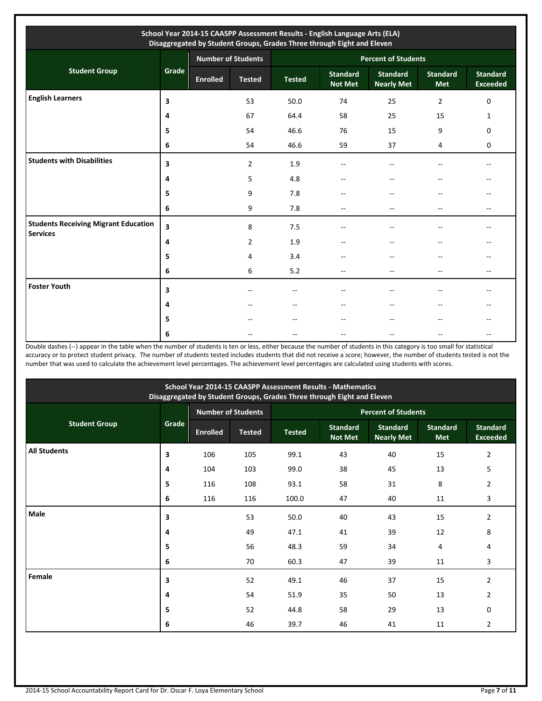|                                                                |         |                 | <b>Number of Students</b> | <b>Percent of Students</b> |                                   |                                      |                        |                                    |  |
|----------------------------------------------------------------|---------|-----------------|---------------------------|----------------------------|-----------------------------------|--------------------------------------|------------------------|------------------------------------|--|
| <b>Student Group</b>                                           | Grade   | <b>Enrolled</b> | <b>Tested</b>             | <b>Tested</b>              | <b>Standard</b><br><b>Not Met</b> | <b>Standard</b><br><b>Nearly Met</b> | <b>Standard</b><br>Met | <b>Standard</b><br><b>Exceeded</b> |  |
| <b>English Learners</b>                                        | 3       |                 | 53                        | 50.0                       | 74                                | 25                                   | $\overline{2}$         | $\mathbf 0$                        |  |
|                                                                | 4       |                 | 67                        | 64.4                       | 58                                | 25                                   | 15                     | 1                                  |  |
|                                                                | 5       |                 | 54                        | 46.6                       | 76                                | 15                                   | 9                      | $\mathbf 0$                        |  |
|                                                                | $\bf 6$ |                 | 54                        | 46.6                       | 59                                | 37                                   | 4                      | 0                                  |  |
| <b>Students with Disabilities</b>                              | 3       |                 | $\overline{2}$            | 1.9                        |                                   |                                      |                        |                                    |  |
|                                                                | 4       |                 | 5                         | 4.8                        |                                   |                                      |                        |                                    |  |
|                                                                | 5       |                 | 9                         | 7.8                        |                                   | $ -$                                 | --                     |                                    |  |
|                                                                | 6       |                 | 9                         | 7.8                        | $\sim$ $\sim$                     | $\sim$                               | $-$                    | $\overline{\phantom{a}}$           |  |
| <b>Students Receiving Migrant Education</b><br><b>Services</b> | 3       |                 | 8                         | 7.5                        |                                   |                                      |                        |                                    |  |
|                                                                | 4       |                 | $\overline{2}$            | 1.9                        |                                   |                                      |                        |                                    |  |
|                                                                | 5       |                 | 4                         | 3.4                        | --                                |                                      |                        | --                                 |  |
|                                                                | 6       |                 | 6                         | 5.2                        | --                                | $-$                                  | --                     | --                                 |  |
| <b>Foster Youth</b>                                            | 3       |                 | --                        | --                         |                                   |                                      |                        |                                    |  |
|                                                                | 4       |                 | --                        | $\overline{a}$             |                                   | $-$                                  | --                     |                                    |  |
|                                                                | 5       |                 |                           | --                         |                                   |                                      |                        |                                    |  |
|                                                                | 6       |                 |                           |                            |                                   |                                      |                        |                                    |  |

Double dashes (--) appear in the table when the number of students is ten or less, either because the number of students in this category is too small for statistical accuracy or to protect student privacy. The number of students tested includes students that did not receive a score; however, the number of students tested is not the number that was used to calculate the achievement level percentages. The achievement level percentages are calculated using students with scores.

| School Year 2014-15 CAASPP Assessment Results - Mathematics<br>Disaggregated by Student Groups, Grades Three through Eight and Eleven |       |                 |                           |                            |                                   |                                      |                               |                                    |  |
|---------------------------------------------------------------------------------------------------------------------------------------|-------|-----------------|---------------------------|----------------------------|-----------------------------------|--------------------------------------|-------------------------------|------------------------------------|--|
|                                                                                                                                       |       |                 | <b>Number of Students</b> | <b>Percent of Students</b> |                                   |                                      |                               |                                    |  |
| <b>Student Group</b>                                                                                                                  | Grade | <b>Enrolled</b> | <b>Tested</b>             | <b>Tested</b>              | <b>Standard</b><br><b>Not Met</b> | <b>Standard</b><br><b>Nearly Met</b> | <b>Standard</b><br><b>Met</b> | <b>Standard</b><br><b>Exceeded</b> |  |
| <b>All Students</b>                                                                                                                   | 3     | 106             | 105                       | 99.1                       | 43                                | 40                                   | 15                            | $\overline{2}$                     |  |
|                                                                                                                                       | 4     | 104             | 103                       | 99.0                       | 38                                | 45                                   | 13                            | 5                                  |  |
|                                                                                                                                       | 5     | 116             | 108                       | 93.1                       | 58                                | 31                                   | 8                             | 2                                  |  |
|                                                                                                                                       | 6     | 116             | 116                       | 100.0                      | 47                                | 40                                   | 11                            | 3                                  |  |
| Male                                                                                                                                  | 3     |                 | 53                        | 50.0                       | 40                                | 43                                   | 15                            | $\overline{2}$                     |  |
|                                                                                                                                       | 4     |                 | 49                        | 47.1                       | 41                                | 39                                   | 12                            | 8                                  |  |
|                                                                                                                                       | 5     |                 | 56                        | 48.3                       | 59                                | 34                                   | 4                             | 4                                  |  |
|                                                                                                                                       | 6     |                 | 70                        | 60.3                       | 47                                | 39                                   | 11                            | 3                                  |  |
| Female                                                                                                                                | 3     |                 | 52                        | 49.1                       | 46                                | 37                                   | 15                            | $\overline{2}$                     |  |
|                                                                                                                                       | 4     |                 | 54                        | 51.9                       | 35                                | 50                                   | 13                            | $\overline{2}$                     |  |
|                                                                                                                                       | 5     |                 | 52                        | 44.8                       | 58                                | 29                                   | 13                            | $\mathbf 0$                        |  |
|                                                                                                                                       | 6     |                 | 46                        | 39.7                       | 46                                | 41                                   | 11                            | $\overline{2}$                     |  |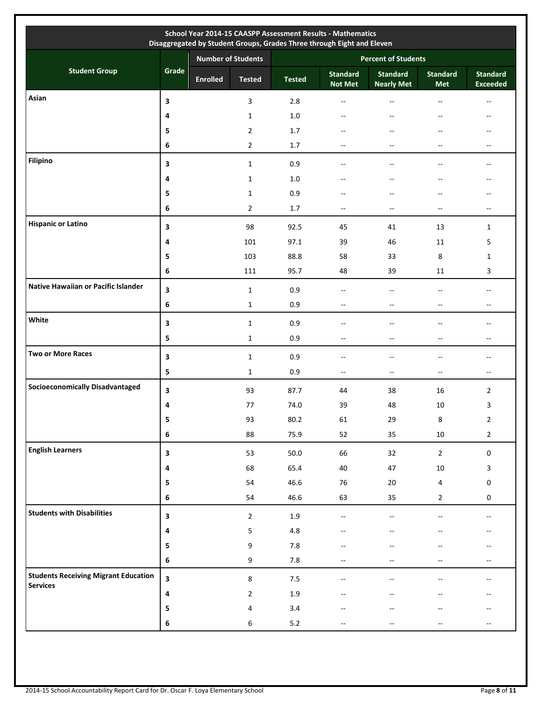|                                             | Disaggregated by Student Groups, Grades Three through Eight and Eleven |                           |                |                            |                                   |                                      |                 |                                       |  |  |
|---------------------------------------------|------------------------------------------------------------------------|---------------------------|----------------|----------------------------|-----------------------------------|--------------------------------------|-----------------|---------------------------------------|--|--|
| <b>Student Group</b>                        | Grade                                                                  | <b>Number of Students</b> |                | <b>Percent of Students</b> |                                   |                                      |                 |                                       |  |  |
|                                             |                                                                        | <b>Enrolled</b>           | <b>Tested</b>  | <b>Tested</b>              | <b>Standard</b><br><b>Not Met</b> | <b>Standard</b><br><b>Nearly Met</b> | Standard<br>Met | <b>Standard</b><br><b>Exceeded</b>    |  |  |
| Asian                                       | 3                                                                      |                           | 3              | 2.8                        | $-$                               | $\overline{a}$                       |                 | --                                    |  |  |
|                                             | 4                                                                      |                           | $\mathbf{1}$   | $1.0\,$                    | --                                | $-\, -$                              | --              | --                                    |  |  |
|                                             | 5                                                                      |                           | $\overline{2}$ | 1.7                        |                                   |                                      | --              | --                                    |  |  |
|                                             | 6                                                                      |                           | $\overline{2}$ | 1.7                        | --                                | --                                   | $-$             | --                                    |  |  |
| Filipino                                    | 3                                                                      |                           | $\mathbf{1}$   | 0.9                        | --                                | --                                   |                 | --                                    |  |  |
|                                             | 4                                                                      |                           | $\mathbf{1}$   | $1.0\,$                    | --                                | $\overline{\phantom{a}}$             | --              | $\hspace{0.05cm}$ – $\hspace{0.05cm}$ |  |  |
|                                             | 5                                                                      |                           | $\mathbf{1}$   | 0.9                        |                                   |                                      |                 |                                       |  |  |
|                                             | 6                                                                      |                           | $\overline{2}$ | 1.7                        | $- -$                             | $\overline{\phantom{a}}$             | $-$             | $\overline{\phantom{a}}$              |  |  |
| <b>Hispanic or Latino</b>                   | 3                                                                      |                           | 98             | 92.5                       | 45                                | 41                                   | 13              | 1                                     |  |  |
|                                             | 4                                                                      |                           | 101            | 97.1                       | 39                                | 46                                   | 11              | 5                                     |  |  |
|                                             | 5                                                                      |                           | 103            | 88.8                       | 58                                | 33                                   | 8               | 1                                     |  |  |
|                                             | 6                                                                      |                           | 111            | 95.7                       | 48                                | 39                                   | 11              | 3                                     |  |  |
| Native Hawaiian or Pacific Islander         | 3                                                                      |                           | $\mathbf{1}$   | 0.9                        | $-$                               | $-$                                  | $-$             | $\overline{\phantom{a}}$              |  |  |
|                                             | 6                                                                      |                           | $\mathbf{1}$   | 0.9                        | $- -$                             | $\overline{\phantom{a}}$             | $-$             | $-$                                   |  |  |
| White                                       | 3                                                                      |                           | $\mathbf{1}$   | 0.9                        | --                                | $-$                                  |                 | $\overline{a}$                        |  |  |
|                                             | 5                                                                      |                           | $\mathbf{1}$   | 0.9                        | $-$                               | $-$                                  | $-$             | $\overline{\phantom{a}}$              |  |  |
| <b>Two or More Races</b>                    | 3                                                                      |                           | $\mathbf{1}$   | 0.9                        | $-$                               | $-$                                  |                 | --                                    |  |  |
|                                             | 5                                                                      |                           | $\mathbf{1}$   | 0.9                        | $-$                               | $\overline{\phantom{a}}$             | $-$             | $\overline{\phantom{a}}$              |  |  |
| <b>Socioeconomically Disadvantaged</b>      | 3                                                                      |                           | 93             | 87.7                       | 44                                | 38                                   | 16              | $\overline{2}$                        |  |  |
|                                             | 4                                                                      |                           | 77             | 74.0                       | 39                                | 48                                   | 10              | 3                                     |  |  |
|                                             | 5                                                                      |                           | 93             | 80.2                       | 61                                | 29                                   | 8               | $\mathbf 2$                           |  |  |
|                                             | $\bf 6$                                                                |                           | 88             | 75.9                       | 52                                | 35                                   | 10              | $\overline{2}$                        |  |  |
| <b>English Learners</b>                     | 3                                                                      |                           | 53             | 50.0                       | 66                                | 32                                   | $\overline{2}$  | $\mathsf{O}\xspace$                   |  |  |
|                                             | 4                                                                      |                           | 68             | 65.4                       | 40                                | 47                                   | $10\,$          | $\mathbf{3}$                          |  |  |
|                                             | 5                                                                      |                           | 54             | 46.6                       | 76                                | $20\,$                               | 4               | 0                                     |  |  |
|                                             | 6                                                                      |                           | 54             | 46.6                       | 63                                | 35                                   | $2^{\circ}$     | $\mathbf 0$                           |  |  |
| <b>Students with Disabilities</b>           | 3                                                                      |                           | $\overline{2}$ | $1.9\,$                    | $-$                               |                                      |                 | $\overline{\phantom{a}}$              |  |  |
|                                             | 4                                                                      |                           | 5              | 4.8                        |                                   |                                      |                 |                                       |  |  |
|                                             | 5                                                                      |                           | 9              | $7.8\,$                    |                                   |                                      |                 |                                       |  |  |
|                                             | 6                                                                      |                           | 9              | 7.8                        | --                                | --                                   | --              | $-\,$                                 |  |  |
| <b>Students Receiving Migrant Education</b> | $\overline{\mathbf{3}}$                                                |                           | $\bf 8$        | 7.5                        | $-$                               |                                      |                 | $\sim$                                |  |  |
| <b>Services</b>                             | 4                                                                      |                           | $\overline{2}$ | 1.9                        |                                   |                                      |                 |                                       |  |  |
|                                             | 5                                                                      |                           | 4              | 3.4                        |                                   |                                      |                 |                                       |  |  |
|                                             | 6                                                                      |                           | 6              | $5.2$                      |                                   |                                      |                 |                                       |  |  |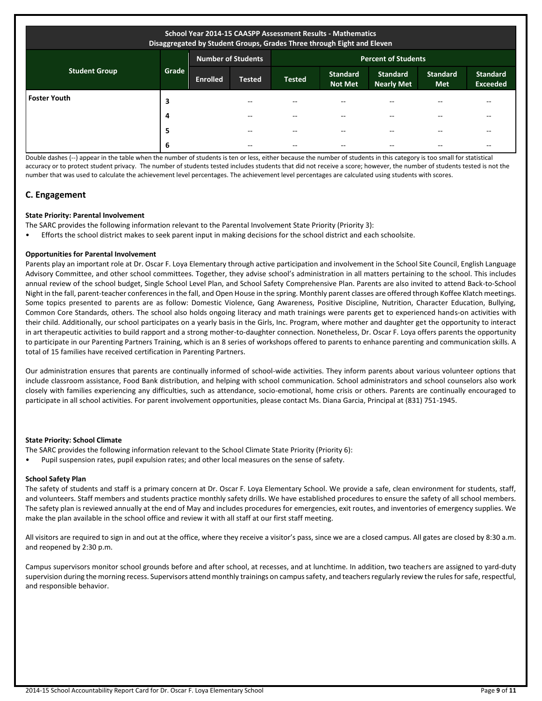| School Year 2014-15 CAASPP Assessment Results - Mathematics<br>Disaggregated by Student Groups, Grades Three through Eight and Eleven |       |                                                         |               |               |                                   |                                      |                               |                                    |  |
|---------------------------------------------------------------------------------------------------------------------------------------|-------|---------------------------------------------------------|---------------|---------------|-----------------------------------|--------------------------------------|-------------------------------|------------------------------------|--|
|                                                                                                                                       |       | <b>Number of Students</b><br><b>Percent of Students</b> |               |               |                                   |                                      |                               |                                    |  |
| <b>Student Group</b>                                                                                                                  | Grade | <b>Enrolled</b>                                         | <b>Tested</b> | <b>Tested</b> | <b>Standard</b><br><b>Not Met</b> | <b>Standard</b><br><b>Nearly Met</b> | <b>Standard</b><br><b>Met</b> | <b>Standard</b><br><b>Exceeded</b> |  |
| <b>Foster Youth</b>                                                                                                                   | 3     |                                                         |               |               | --                                |                                      |                               |                                    |  |
|                                                                                                                                       | 4     |                                                         | $- -$         | $- -$         | $- -$                             |                                      | --                            | --                                 |  |
|                                                                                                                                       | 5     |                                                         | $- -$         | $-$           | $-$                               |                                      | --                            | --                                 |  |
|                                                                                                                                       | 6     |                                                         | $- -$         | $- -$         | --                                |                                      |                               | --                                 |  |

Double dashes (--) appear in the table when the number of students is ten or less, either because the number of students in this category is too small for statistical accuracy or to protect student privacy. The number of students tested includes students that did not receive a score; however, the number of students tested is not the number that was used to calculate the achievement level percentages. The achievement level percentages are calculated using students with scores.

## **C. Engagement**

## **State Priority: Parental Involvement**

The SARC provides the following information relevant to the Parental Involvement State Priority (Priority 3):

• Efforts the school district makes to seek parent input in making decisions for the school district and each schoolsite.

## **Opportunities for Parental Involvement**

Parents play an important role at Dr. Oscar F. Loya Elementary through active participation and involvement in the School Site Council, English Language Advisory Committee, and other school committees. Together, they advise school's administration in all matters pertaining to the school. This includes annual review of the school budget, Single School Level Plan, and School Safety Comprehensive Plan. Parents are also invited to attend Back-to-School Night in the fall, parent-teacher conferences in the fall, and Open House in the spring. Monthly parent classes are offered through Koffee Klatch meetings. Some topics presented to parents are as follow: Domestic Violence, Gang Awareness, Positive Discipline, Nutrition, Character Education, Bullying, Common Core Standards, others. The school also holds ongoing literacy and math trainings were parents get to experienced hands-on activities with their child. Additionally, our school participates on a yearly basis in the Girls, Inc. Program, where mother and daughter get the opportunity to interact in art therapeutic activities to build rapport and a strong mother-to-daughter connection. Nonetheless, Dr. Oscar F. Loya offers parents the opportunity to participate in our Parenting Partners Training, which is an 8 series of workshops offered to parents to enhance parenting and communication skills. A total of 15 families have received certification in Parenting Partners.

Our administration ensures that parents are continually informed of school-wide activities. They inform parents about various volunteer options that include classroom assistance, Food Bank distribution, and helping with school communication. School administrators and school counselors also work closely with families experiencing any difficulties, such as attendance, socio-emotional, home crisis or others. Parents are continually encouraged to participate in all school activities. For parent involvement opportunities, please contact Ms. Diana Garcia, Principal at (831) 751-1945.

#### **State Priority: School Climate**

The SARC provides the following information relevant to the School Climate State Priority (Priority 6):

• Pupil suspension rates, pupil expulsion rates; and other local measures on the sense of safety.

#### **School Safety Plan**

The safety of students and staff is a primary concern at Dr. Oscar F. Loya Elementary School. We provide a safe, clean environment for students, staff, and volunteers. Staff members and students practice monthly safety drills. We have established procedures to ensure the safety of all school members. The safety plan is reviewed annually at the end of May and includes procedures for emergencies, exit routes, and inventories of emergency supplies. We make the plan available in the school office and review it with all staff at our first staff meeting.

All visitors are required to sign in and out at the office, where they receive a visitor's pass, since we are a closed campus. All gates are closed by 8:30 a.m. and reopened by 2:30 p.m.

Campus supervisors monitor school grounds before and after school, at recesses, and at lunchtime. In addition, two teachers are assigned to yard-duty supervision during the morning recess. Supervisors attend monthly trainings on campus safety, and teachers regularly review the rules for safe, respectful, and responsible behavior.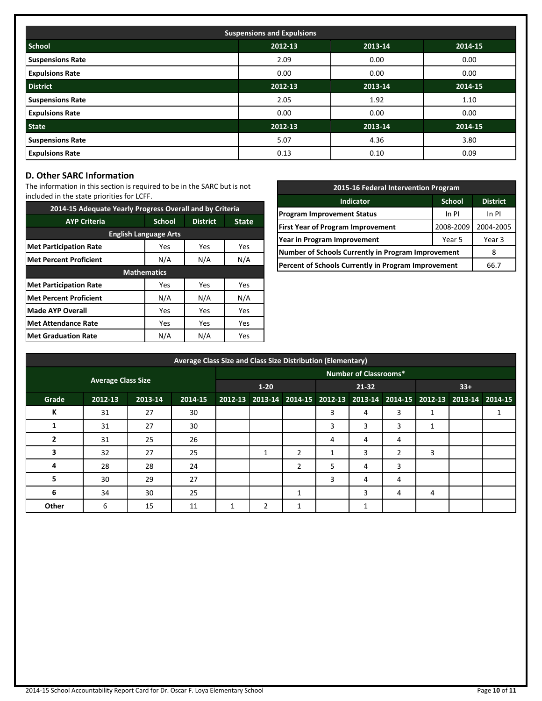| <b>Suspensions and Expulsions</b> |         |         |         |  |  |  |  |  |  |
|-----------------------------------|---------|---------|---------|--|--|--|--|--|--|
| <b>School</b>                     | 2012-13 | 2013-14 | 2014-15 |  |  |  |  |  |  |
| <b>Suspensions Rate</b>           | 2.09    | 0.00    | 0.00    |  |  |  |  |  |  |
| <b>Expulsions Rate</b>            | 0.00    | 0.00    | 0.00    |  |  |  |  |  |  |
| <b>District</b>                   | 2012-13 | 2013-14 | 2014-15 |  |  |  |  |  |  |
| <b>Suspensions Rate</b>           | 2.05    | 1.92    | 1.10    |  |  |  |  |  |  |
| <b>Expulsions Rate</b>            | 0.00    | 0.00    | 0.00    |  |  |  |  |  |  |
| <b>State</b>                      | 2012-13 | 2013-14 | 2014-15 |  |  |  |  |  |  |
| <b>Suspensions Rate</b>           | 5.07    | 4.36    | 3.80    |  |  |  |  |  |  |
| <b>Expulsions Rate</b>            | 0.13    | 0.10    | 0.09    |  |  |  |  |  |  |

## **D. Other SARC Information**

The information in this section is required to be in the SARC but is not included in the state priorities for LCFF.

| 2014-15 Adequate Yearly Progress Overall and by Criteria |                    |                 |              |  |  |  |  |  |  |  |
|----------------------------------------------------------|--------------------|-----------------|--------------|--|--|--|--|--|--|--|
| <b>AYP Criteria</b>                                      | <b>School</b>      | <b>District</b> | <b>State</b> |  |  |  |  |  |  |  |
| <b>English Language Arts</b>                             |                    |                 |              |  |  |  |  |  |  |  |
| <b>Met Participation Rate</b>                            | Yes                | Yes             | Yes          |  |  |  |  |  |  |  |
| <b>Met Percent Proficient</b>                            | N/A                | N/A             | N/A          |  |  |  |  |  |  |  |
|                                                          | <b>Mathematics</b> |                 |              |  |  |  |  |  |  |  |
| <b>Met Participation Rate</b>                            | Yes                | Yes             | Yes          |  |  |  |  |  |  |  |
| <b>Met Percent Proficient</b>                            | N/A                | N/A             | N/A          |  |  |  |  |  |  |  |
| <b>Made AYP Overall</b>                                  | Yes                | Yes             | Yes          |  |  |  |  |  |  |  |
| <b>Met Attendance Rate</b>                               | Yes                | Yes             | Yes          |  |  |  |  |  |  |  |
| <b>Met Graduation Rate</b>                               | N/A                | N/A             | <b>Yes</b>   |  |  |  |  |  |  |  |

| 2015-16 Federal Intervention Program                |                 |           |  |  |  |  |  |
|-----------------------------------------------------|-----------------|-----------|--|--|--|--|--|
| <b>Indicator</b>                                    | <b>District</b> |           |  |  |  |  |  |
| <b>Program Improvement Status</b>                   | In PI           | In PI     |  |  |  |  |  |
| <b>First Year of Program Improvement</b>            | 2008-2009       | 2004-2005 |  |  |  |  |  |
| Year in Program Improvement                         | Year 5          | Year 3    |  |  |  |  |  |
| Number of Schools Currently in Program Improvement  |                 |           |  |  |  |  |  |
| Percent of Schools Currently in Program Improvement | 66.7            |           |  |  |  |  |  |

|       | Average Class Size and Class Size Distribution (Elementary) |         |         |   |                              |                |                                                                         |           |   |    |       |  |  |  |
|-------|-------------------------------------------------------------|---------|---------|---|------------------------------|----------------|-------------------------------------------------------------------------|-----------|---|----|-------|--|--|--|
|       |                                                             |         |         |   | <b>Number of Classrooms*</b> |                |                                                                         |           |   |    |       |  |  |  |
|       | <b>Average Class Size</b>                                   |         |         |   | $1 - 20$                     |                |                                                                         | $21 - 32$ |   |    | $33+$ |  |  |  |
| Grade | 2012-13                                                     | 2013-14 | 2014-15 |   |                              |                | 2012-13 2013-14 2014-15 2012-13 2013-14 2014-15 2012-13 2013-14 2014-15 |           |   |    |       |  |  |  |
| К     | 31                                                          | 27      | 30      |   |                              |                | 3                                                                       | 4         | 3 | 1  |       |  |  |  |
|       | 31                                                          | 27      | 30      |   |                              |                | 3                                                                       | 3         | 3 | Ŧ. |       |  |  |  |
| 2     | 31                                                          | 25      | 26      |   |                              |                | 4                                                                       | 4         | 4 |    |       |  |  |  |
| 3     | 32                                                          | 27      | 25      |   | 1                            | $\overline{2}$ |                                                                         | 3         |   | 3  |       |  |  |  |
| 4     | 28                                                          | 28      | 24      |   |                              | 2              | 5                                                                       | 4         | 3 |    |       |  |  |  |
| 5     | 30                                                          | 29      | 27      |   |                              |                | 3                                                                       | 4         | 4 |    |       |  |  |  |
| 6     | 34                                                          | 30      | 25      |   |                              |                |                                                                         | 3         | 4 | 4  |       |  |  |  |
| Other | 6                                                           | 15      | 11      | 1 | ຳ                            |                |                                                                         |           |   |    |       |  |  |  |